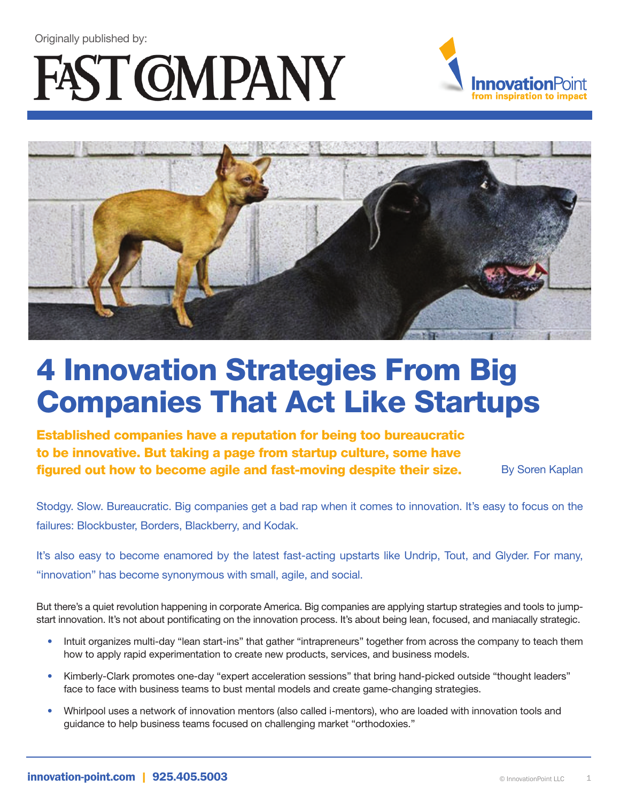#### Originally published by:







# 4 Innovation Strategies From Big Companies That Act Like Startups

Established companies have a reputation for being too bureaucratic to be innovative. But taking a page from startup culture, some have figured out how to become agile and fast-moving despite their size. By Soren Kaplan

Stodgy. Slow. Bureaucratic. Big companies get a bad rap when it comes to innovation. It's easy to focus on the failures: Blockbuster, Borders, Blackberry, and Kodak.

It's also easy to become enamored by the latest fast-acting upstarts like Undrip, Tout, and Glyder. For many, "innovation" has become synonymous with small, agile, and social.

But there's a quiet revolution happening in corporate America. Big companies are applying startup strategies and tools to jumpstart innovation. It's not about pontificating on the innovation process. It's about being lean, focused, and maniacally strategic.

- Intuit organizes multi-day "lean start-ins" that gather "intrapreneurs" together from across the company to teach them how to apply rapid experimentation to create new products, services, and business models.
- Kimberly-Clark promotes one-day "expert acceleration sessions" that bring hand-picked outside "thought leaders" face to face with business teams to bust mental models and create game-changing strategies.
- Whirlpool uses a network of innovation mentors (also called i-mentors), who are loaded with innovation tools and guidance to help business teams focused on challenging market "orthodoxies."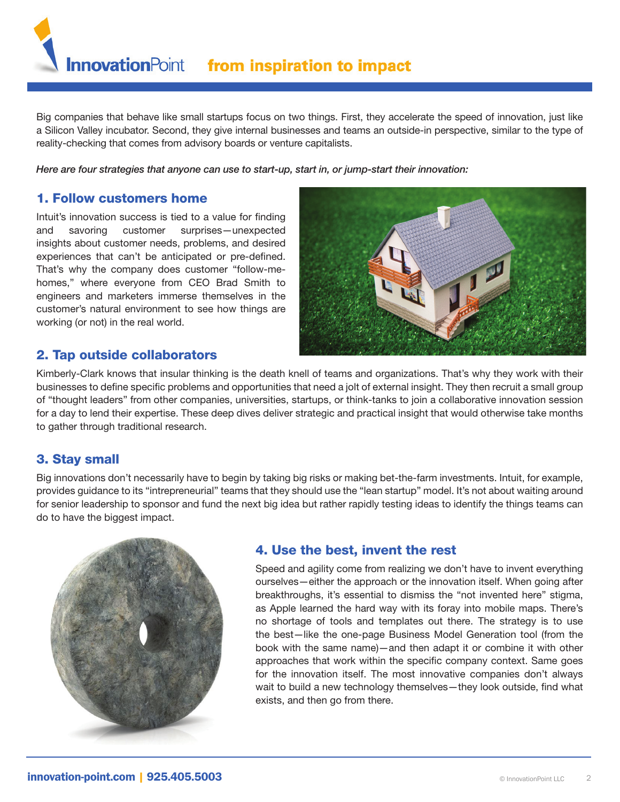# **InnovationPoint** from inspiration to impact

Big companies that behave like small startups focus on two things. First, they accelerate the speed of innovation, just like a Silicon Valley incubator. Second, they give internal businesses and teams an outside-in perspective, similar to the type of reality-checking that comes from advisory boards or venture capitalists.

*Here are four strategies that anyone can use to start-up, start in, or jump-start their innovation:*

#### 1. Follow customers home

Intuit's innovation success is tied to a value for finding and savoring customer surprises—unexpected insights about customer needs, problems, and desired experiences that can't be anticipated or pre-defined. That's why the company does customer "follow-mehomes," where everyone from CEO Brad Smith to engineers and marketers immerse themselves in the customer's natural environment to see how things are working (or not) in the real world.



### 2. Tap outside collaborators

Kimberly-Clark knows that insular thinking is the death knell of teams and organizations. That's why they work with their businesses to define specific problems and opportunities that need a jolt of external insight. They then recruit a small group of "thought leaders" from other companies, universities, startups, or think-tanks to join a collaborative innovation session for a day to lend their expertise. These deep dives deliver strategic and practical insight that would otherwise take months to gather through traditional research.

#### 3. Stay small

Big innovations don't necessarily have to begin by taking big risks or making bet-the-farm investments. Intuit, for example, provides guidance to its "intrepreneurial" teams that they should use the "lean startup" model. It's not about waiting around for senior leadership to sponsor and fund the next big idea but rather rapidly testing ideas to identify the things teams can do to have the biggest impact.



## 4. Use the best, invent the rest

Speed and agility come from realizing we don't have to invent everything ourselves—either the approach or the innovation itself. When going after breakthroughs, it's essential to dismiss the "not invented here" stigma, as Apple learned the hard way with its foray into mobile maps. There's no shortage of tools and templates out there. The strategy is to use the best—like the one-page Business Model Generation tool (from the book with the same name)—and then adapt it or combine it with other approaches that work within the specific company context. Same goes for the innovation itself. The most innovative companies don't always wait to build a new technology themselves—they look outside, find what exists, and then go from there.